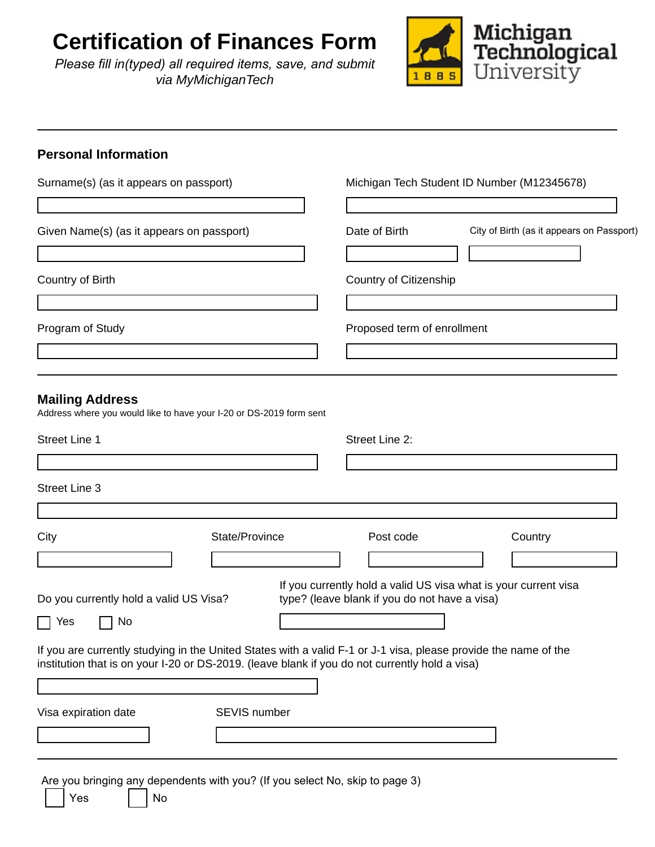# **Certification of Finances Form**

*Please fill in(typed) all required items, save, and submit via MyMichiganTech*



### **Personal Information**

| Surname(s) (as it appears on passport)                                                                                                                                                                            |                |  |                                               | Michigan Tech Student ID Number (M12345678)                     |  |
|-------------------------------------------------------------------------------------------------------------------------------------------------------------------------------------------------------------------|----------------|--|-----------------------------------------------|-----------------------------------------------------------------|--|
| Given Name(s) (as it appears on passport)                                                                                                                                                                         |                |  | Date of Birth                                 | City of Birth (as it appears on Passport)                       |  |
| Country of Birth                                                                                                                                                                                                  |                |  | Country of Citizenship                        |                                                                 |  |
| Program of Study                                                                                                                                                                                                  |                |  | Proposed term of enrollment                   |                                                                 |  |
| <b>Mailing Address</b><br>Address where you would like to have your I-20 or DS-2019 form sent                                                                                                                     |                |  |                                               |                                                                 |  |
| <b>Street Line 1</b>                                                                                                                                                                                              |                |  | Street Line 2:                                |                                                                 |  |
| <b>Street Line 3</b>                                                                                                                                                                                              |                |  |                                               |                                                                 |  |
| City                                                                                                                                                                                                              | State/Province |  | Post code                                     | Country                                                         |  |
| Do you currently hold a valid US Visa?<br>No<br>Yes                                                                                                                                                               |                |  | type? (leave blank if you do not have a visa) | If you currently hold a valid US visa what is your current visa |  |
| If you are currently studying in the United States with a valid F-1 or J-1 visa, please provide the name of the<br>institution that is on your I-20 or DS-2019. (leave blank if you do not currently hold a visa) |                |  |                                               |                                                                 |  |
|                                                                                                                                                                                                                   |                |  |                                               |                                                                 |  |
| Visa expiration date                                                                                                                                                                                              | SEVIS number   |  |                                               |                                                                 |  |
|                                                                                                                                                                                                                   |                |  |                                               |                                                                 |  |
| Are you bringing any dependents with you? (If you select No, skip to page 3)<br>Yes<br>No                                                                                                                         |                |  |                                               |                                                                 |  |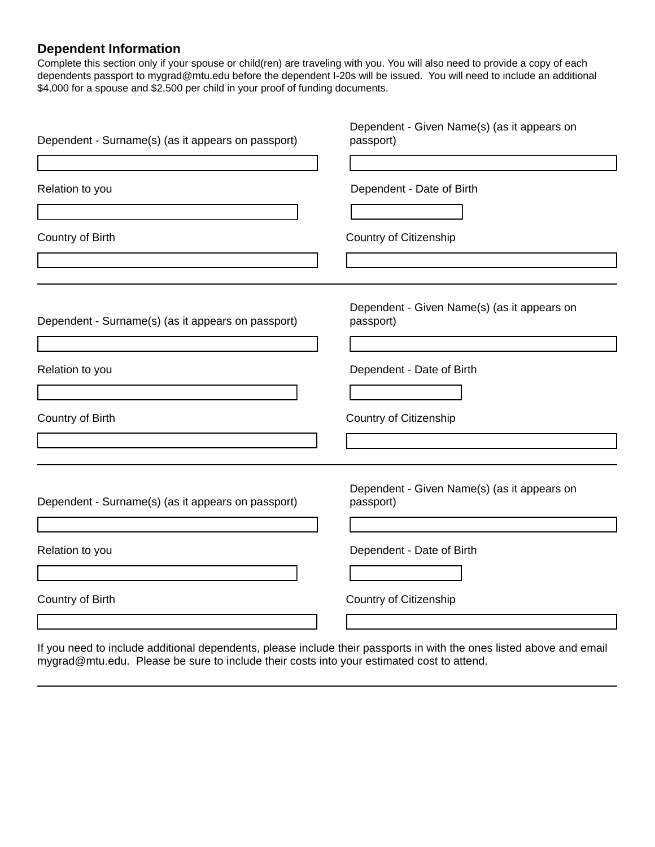### **Dependent Information**

Complete this section only if your spouse or child(ren) are traveling with you. You will also need to provide a copy of each dependents passport to mygrad@mtu.edu before the dependent I-20s will be issued. You will need to include an additional \$4,000 for a spouse and \$2,500 per child in your proof of funding documents.

| Dependent - Surname(s) (as it appears on passport) | Dependent - Given Name(s) (as it appears on<br>passport) |
|----------------------------------------------------|----------------------------------------------------------|
| Relation to you                                    | Dependent - Date of Birth                                |
| Country of Birth                                   | Country of Citizenship                                   |
| Dependent - Surname(s) (as it appears on passport) | Dependent - Given Name(s) (as it appears on<br>passport) |
| Relation to you                                    | Dependent - Date of Birth                                |
| Country of Birth                                   | Country of Citizenship                                   |
| Dependent - Surname(s) (as it appears on passport) | Dependent - Given Name(s) (as it appears on<br>passport) |
| Relation to you                                    | Dependent - Date of Birth                                |
| Country of Birth                                   | Country of Citizenship                                   |

If you need to include additional dependents, please include their passports in with the ones listed above and email mygrad@mtu.edu. Please be sure to include their costs into your estimated cost to attend.